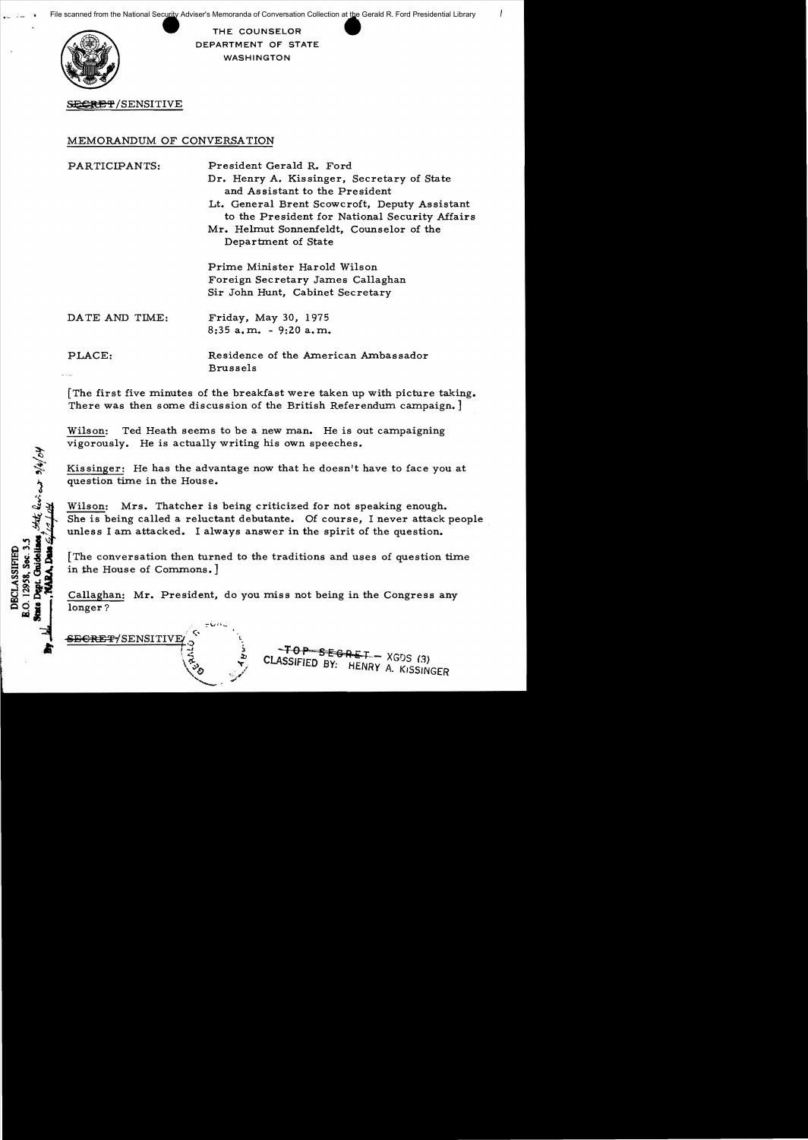

THE COUNSELOR DEPARTMENT OF STATE WASHINGTON

### SECRET/SENSITIVE

#### MEMORANDUM OF CONVERSATION

PARTICIPANTS: President Gerald R. Ford

Dr. Henry A. Kissinger, Secretary of State and Assistant to the President Lt. General Brent Scowcroft, Deputy Assistant to the President for National Security Affairs Mr. Helmut Sonnenfeldt, Counselor of the Department of State

Prime Minister Harold Wilson Foreign Secretary James Callaghan Sir John Hunt, Cabinet Secretary

PLACE: Residence of the American Ambassador Brussels

[The first five minutes of the breakfast were taken up with picture taking. There was then some discussion of the British Referendum campaign.]

Wilson: Ted Heath seems to be a new man. He is out campaigning vigorously. He is actually writing his own speeches.

Kis singer: He has the advantage now that he doesn't have to face you at question time in the House.

Wilson: Mrs. Thatcher is being criticized for not speaking enough. She is being called a reluctant debutante. Of course, I never attack people unless I am attacked. I always answer in the spirit of the question.

[The conversation then turned to the traditions and uses of question time in the House of Commons.]

Callaghan: Mr. President, do you miss not being in the Congress any longer?

<del>SEGRET/</del>SENSITIVE

State live as 3/4/04

**Deat.** 

**DECLASSIFIED** 

 $-TOP - SEGRET - XGDS (3)$ CLASSIFIED BY: HENRY A. KISSINGER

DATE AND TIME: Friday, May 30, 1975 8:35 a. m. - 9:20 a. m.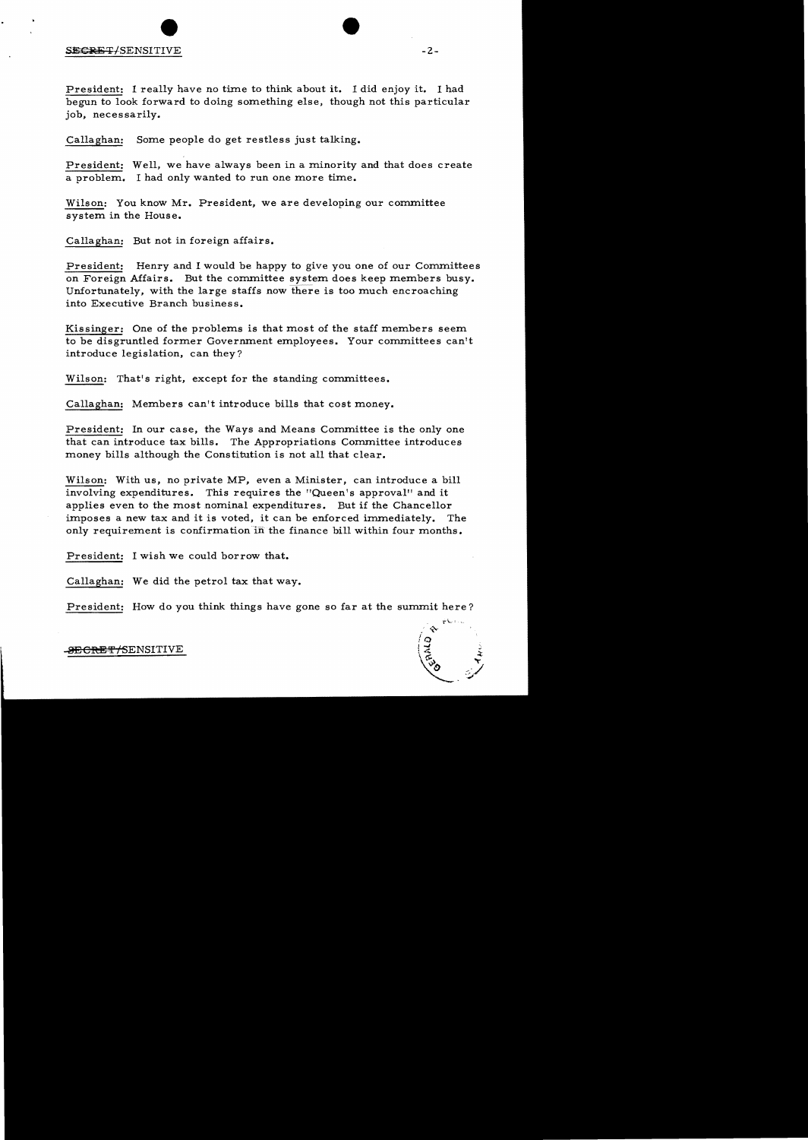# $S$ <del>ECRET</del>/SENSITIVE  $-2$ -

President: I really have no time to think about it. I did enjoy it. I had begun to look forward to doing something else, though not this particular job, necessarily.

Callaghan: Some people do get restless just talking.

President: Well, we have always been in a minority and that does create a problem. I had only wanted to run one more time.

Wilson: You know Mr. President, we are developing our committee system in the House.

Callaghan: But not in foreign affairs.

President: Henry and I would be happy to give you one of our Committees on Foreign Affairs. But the committee system does keep members busy. Unfortunately, with the large staffs now there is too much encroaching into Executive Branch business.

Kissinger: One of the problems is that most of the staff members seem to be disgruntled former Government employees. Your committees can't introduce legislation, can they?

Wilson: That's right, except for the standing committees.

Callaghan: Members can't introduce bills that cost money.

President: In our case, the Ways and Means Committee is the only one that can introduce tax bills. The Appropriations Committee introduces money bills although the Constitution is not all that clear.

Wilson: With us, no private MP, even a Minister, can introduce a bill involving expenditures. This requires the "Queen's approval" and it applies even to the most nominal expenditures. But if the Chancellor imposes a new tax and it is voted, it can be enforced immediately. The only requirement is confirmation in the finance bill within four months.

President: I wish we could borrow that.

Callaghan: We did the petrol tax that way.

President: How do you think things have gone so far at the summit here?

.<del>SECRET/S</del>ENSITIVE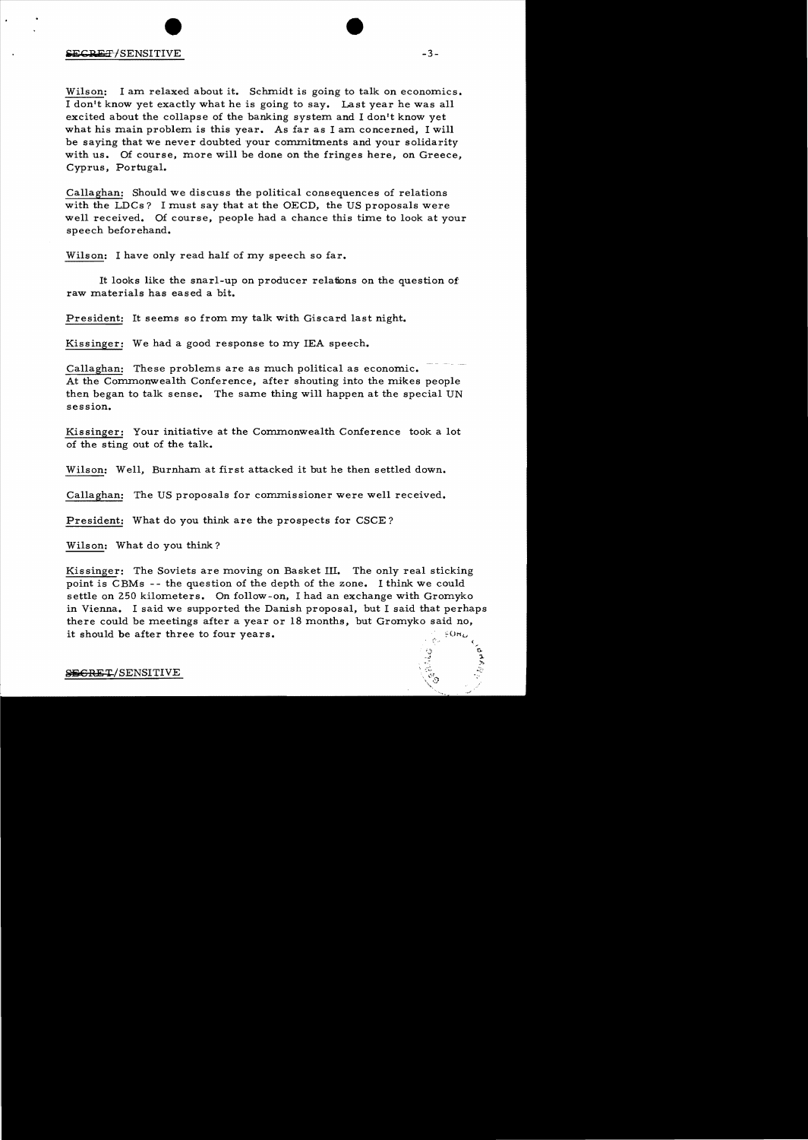Wilson: I am relaxed about it. Schmidt is going to talk on economics. I don't know yet exactly what he is going to say. Last year he was all excited about the collapse of the banking system and I don't know yet what his main problem is this year. As far as I am concerned, I will be saying that we never doubted your commitments and your solidarity with us. Of course, more will be done on the fringes here, on Greece, Cyprus, Portugal.

Callaghan: Should we discuss the political consequences of relations with the LDCs? I must say that at the OECD, the US proposals were well received. Of course, people had a chance this time to look at your speech beforehand.

Wilson: I have only read half of my speech so far.

It looks like the snarl-up on producer relations on the question of: raw materials has eased a bit.

President: It seems so from my talk with Giscard last night.

Kissinger: We had a good response to my lEA speech.

Callaghan: These problems are as much political as economic. At the Commonwealth Conference, after shouting into the mikes people then began to talk sense. The same thing will happen at the special UN session.

Kissinger: Your initiative at the Commonwealth Conference took a lot of the sting out of the talk.

Wilson: Well, Burnham at first attacked it but he then settled down.

Callaghan: The US proposals for commissioner were well received.

President: What do you think are the prospects for CSCE?

Wilson: What do you think?

Kissinger: The Soviets are moving on Basket Ill. The only real sticking point is CBMs - - the question of the depth of the zone. I think we could settle on 250 kilometers. On follow-on, I had an exchange with Gromyko in Vienna. I said we supported the Danish proposal, but I said that perhaps there could be meetings after a year or 18 months, but Gromyko said no, it should be after three to four years.

#### SEGRET/SENSITIVE

 $\zeta$  $\mathfrak{g}$ . :.. »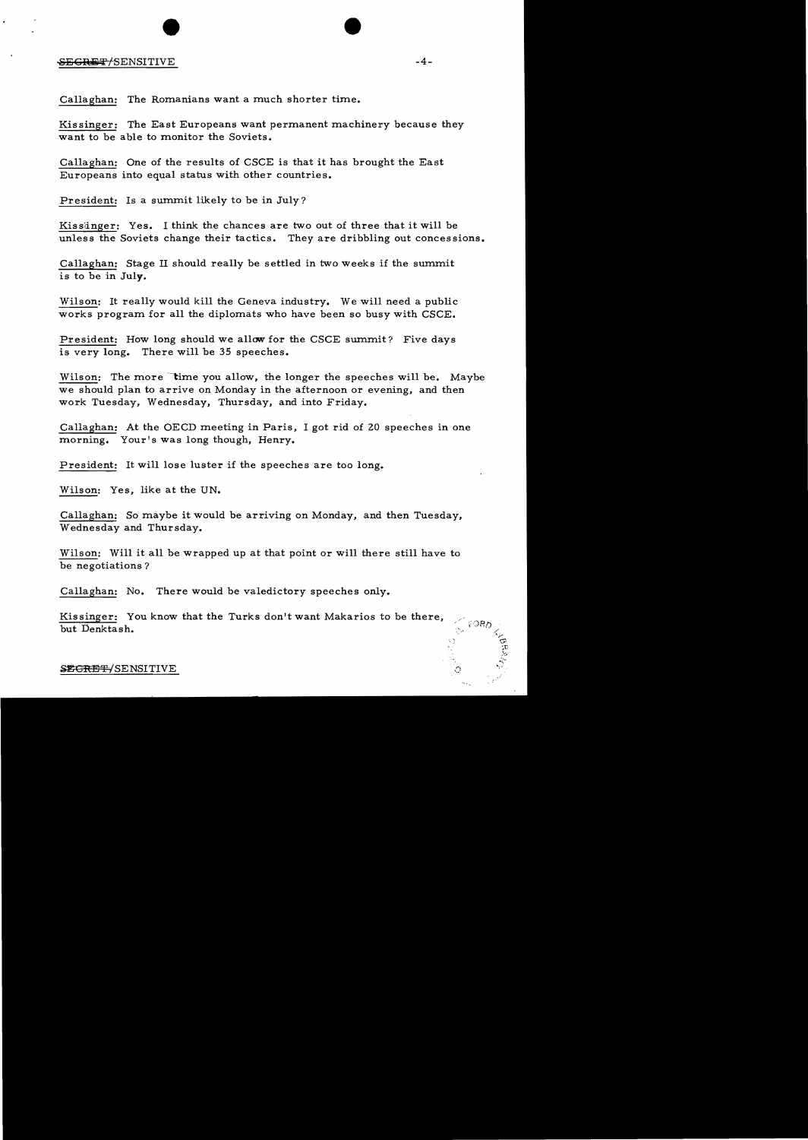# SECRET/SENSITIVE -4-

Callaghan: The Romanians want a much shorter time.

Kissinger: The East Europeans want permanent machinery because they want to be able to monitor the Soviets.

Callaghan: One of the results of CSCE is that it has brought the East Europeans into equal status with other countries.

President: Is a summit likely to be in July?

Kissiinger: Yes. I think the chances are two out of three that it will be unless the Soviets change their tactics. They are dribbling out concessions.

Callaghan: Stage II should really be settled in two weeks if the summit is to be in July.

Wilson: It really would kill the Geneva industry. We will need a public works program for all the diplomats who have been so busy with CSCE.

President: How long should we allow for the CSCE summit? Five days is very long. There will be 35 speeches.

Wilson: The more time you allow, the longer the speeches will be. Maybe we should plan to arrive on Monday in the afternoon or evening, and then work Tuesday, Wednesday, Thursday, and into Friday.

Callaghan: At the OECD meeting in Paris, I got rid of 20 speeches in one morning. Your's was long though, Henry.

President: It will lose luster if the speeches are too long.

Wilson: Yes, like at the UN.

Callaghan: So maybe it would be arriving on Monday, and then Tuesday, Wednesday and Thursday.

Wilson: Will it all be wrapped up at that point or will there still have to be negotiations?

Callaghan: No. There would be valedictory speeches only.

Kissinger: You know that the Turks don't want Makarios to be there, but Denktash.

SECRET-/SENSITIVE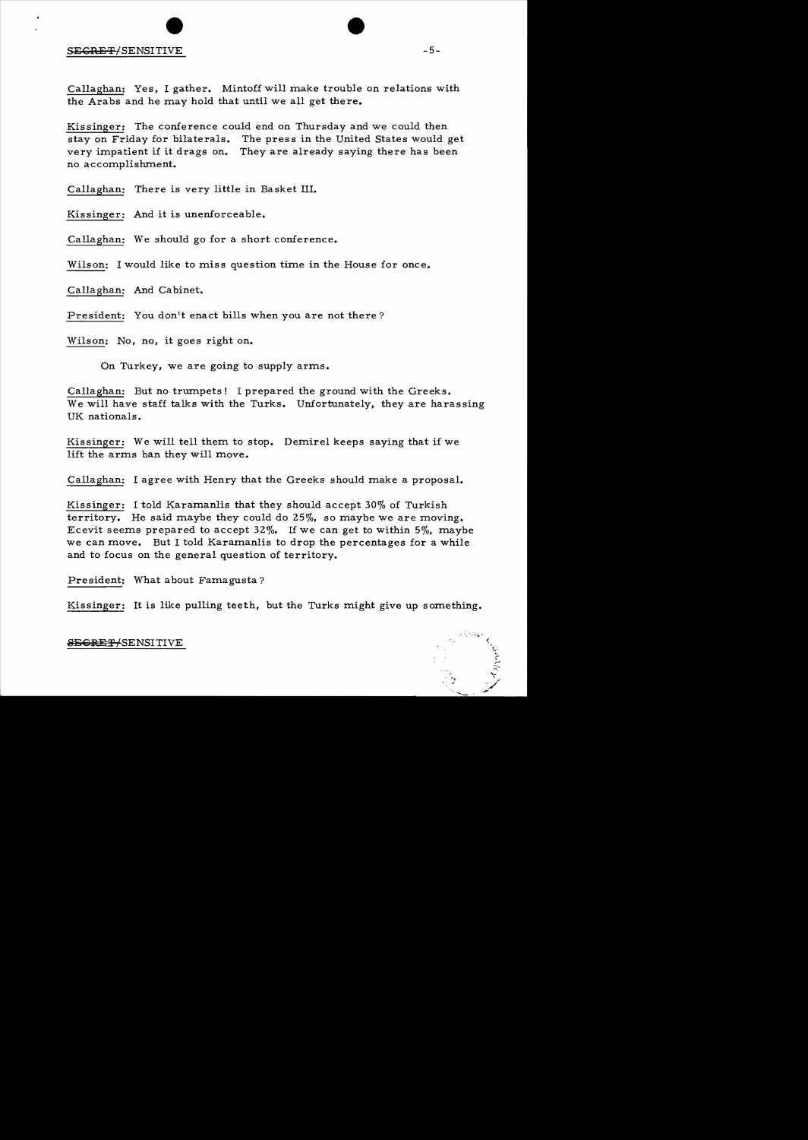#### S<del>ECRET</del>/SENSITIVE  $-5-$

Callaghan: Yes. I gather. Mintoff will make trouble on relations with the Arabs and he may hold that until we all get there.

Kissinger: The conference could end on Thursday and we could then stay on Friday for bilaterals. The press in the United States would get very impatient if it drags on. They are already saying there has been no accomplishment.

Callaghan: There is very little in Basket III.

Kissinger: And it is unenforceable.

Callaghan: We should go for a short conference.

Wilson: I would like to miss question time in the House for once.

Callaghan: And Cabinet.

President: You don't enact bills when you are not there?

Wilson: No, no, it goes right on.

On Turkey. we are going to supply arms.

Callaghan: But no trumpets! I prepared the ground with the Greeks. We will have staff talks with the Turks. Unfortunately, they are harassing UK nationals.

Kissinger: We will tell them to stop. Demirel keeps saying that if we lift the arms ban they will move.

Callaghan: I agree with Henry that the Greeks should make a proposal.

Kissinger: I told Karamanlis that they should accept 30% of Turkish territory. He said maybe they could do 25%. so maybe we are moving. Ecevit seems prepared to accept  $32\%$ . If we can get to within  $5\%$ , maybe we can move. But I told Karamanlis to drop the percentages for a while and to focus on the general question of territory.

President: What about Famagusta?

Kissinger: It is like pulling teeth, but the Turks might give up something.

**SEGRET/SENSITIVE** 

 $: \mathbb{C} \rightarrow \mathbb{C}$ 

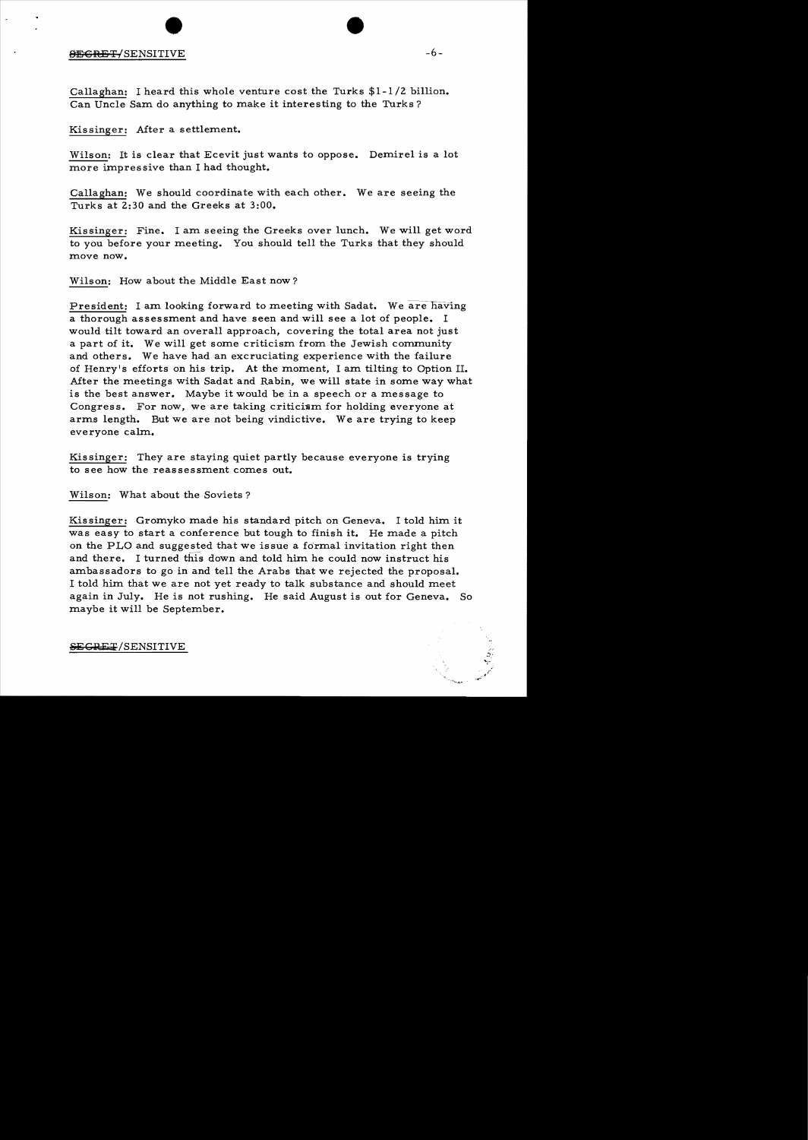# and the set of the set of the set of the set of the set of the set of the set of the set of the set of the set of the set of the set of the set of the set of the set of the set of the set of the set of the set of the set o

Callaghan: I heard this whole venture cost the Turks \$1-1/2 billion. Can Uncle Sam do anything to make it interesting to the Turks?

Kissinger: After a settlement.

Wilson: It is clear that Ecevit just wants to oppose. Demirel is a lot more impressive than I had thought.

Callaghan: We should coordinate with each other. We are seeing the Turks at 2:30 and the Greeks at 3:00.

Kissinger: Fine. I am seeing the Greeks over lunch. We will get word to you before your meeting. You should tell the Turks that they should move now.

Wilson: How about the Middle East now?

President: I am looking forward to meeting with Sadat. We are having a thorough assessment and have seen and will see a lot of people. I would tilt toward an overall approach, covering the total area not just a part of it. We will get some criticism from the Jewish community and others. We have had an excruciating experience with the failure of Henry's efforts on his trip. At the moment, I am tilting to Option II. After the meetings with Sadat and Rabin, we will state in some way what is the best answer. Maybe it would be in a speech or a message to Congress. For now, we are taking criticism for holding everyone at arms length. But we are not being vindictive. We are trying to keep everyone calm.

Kissinger: They are staying quiet partly because everyone is trying to see how the reassessment comes out.

Wilson: What about the Soviets?

Kissinger: Gromyko made his standard pitch on Geneva. I told him it was easy to start a conference but tough to finish it. He made a pitch on the PLO and suggested that we issue a fo'rmal invitation right then and there. I turned this down and told him he could now instruct his ambassadors to go in and tell the Arabs that we rejected the proposal. I told him that we are not yet ready to talk substance and should meet again in July. He is not rushing. He said August is out for Geneva. So maybe it will be September.

~GRE~/SENSITIVE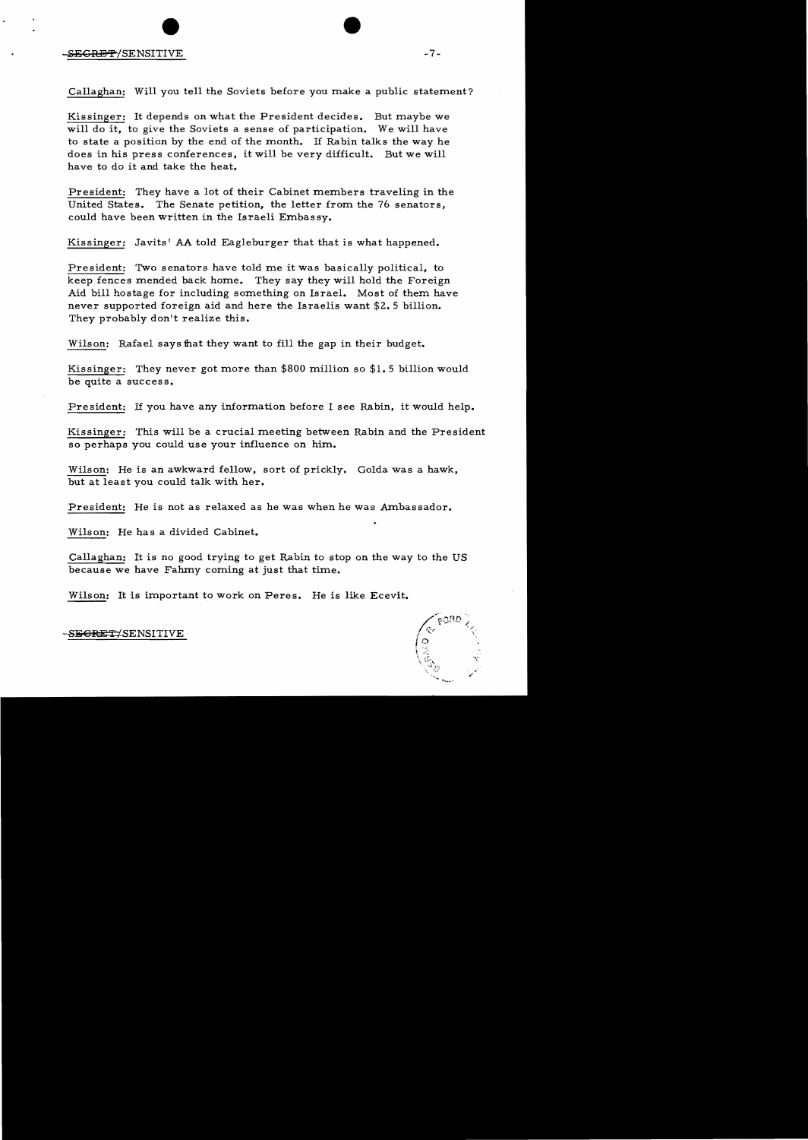Callaghan: Will you tell the Soviets before you make a public statement?

Kissinger: It depends on what the President decides. But maybe we will do it, to give the Soviets a sense of participation. We will have to state a position by the end of the month. If Rabin talks the way he does in his press conferences, it will be very difficult. But we will have to do it and take the heat.

President: They have a lot of their Cabinet members traveling in the United States. The Senate petition, the letter from the 76 senators, could have been written in the Israeli Embassy.

Kissinger: Javits! AA told Eagleburger that that is what happened.

President: Two senators have told me it was basically political, to keep fences mended back home. They say they will hold the Foreign Aid bill hostage for including something on Israel. Most of them have never supported foreign aid and here the Israelis want \$2.5 billion. They probably don't realize this.

Wilson: Rafael says that they want to fill the gap in their budget.

Kissinger: They never got more than \$800 million so \$1.5 billion would be quite a success.

President: If you have any information before I see Rabin, it would help.

Kissinger: This will be a crucial meeting between Rabin and the President so perhaps you could use your influence on him.

Wilson: He is an awkward fellow, sort of prickly. Golda was a hawk, but at least you could talk with her.

President: He is not as relaxed as he was when he was Ambassador.

Wilson: He has a divided Cabinet.

Callaghan: It is no good trying to get Rabin to stop on the way to the US because we have Fahmy coming at just that time.

Wilson: It is important to work on Peres. He is like Ecevit.

 $\sqrt{r}$ ORD  $\mathbf{f}$ >,

SE<del>GRET</del>/SENSITIVE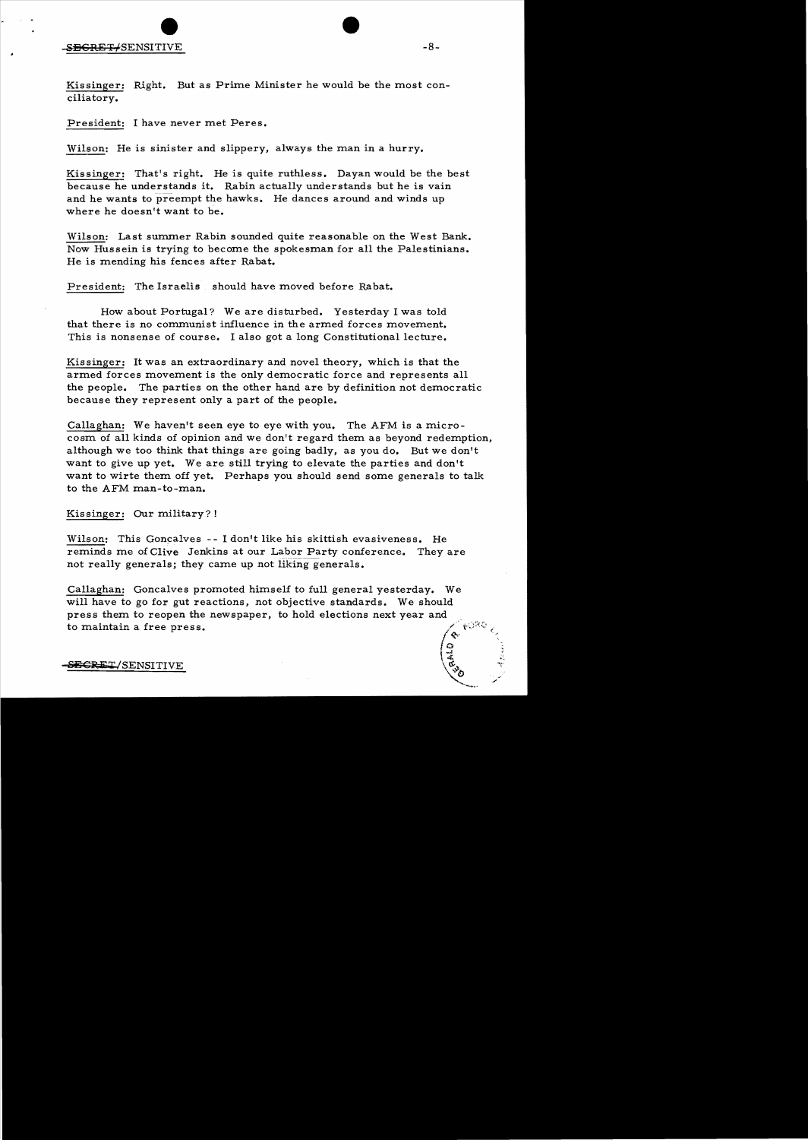Kissinger: Right. But as Prime Minister he would be the most conciliatory.

President: I have never met Peres.

Wilson: He is sinister and slippery, always the man in a hurry.

Kissinger: That's right. He is quite ruthless. Dayan would be the best because he understands it. Rabin actually understands but he is vain and he wants to preempt the hawks. He dances around and winds up where he doesn't want to be.

Wilson: Last summer Rabin sounded quite reasonable on the West Bank. Now Hussein is trying to become the spokesman for all the Palestinians. He is mending his fences after Rabat.

President: The Israelis should have moved before Rabat.

How about Portugal? We are disturbed. Yesterday I was told that there is no communist influence in the armed forces movement. This is nonsense of course. I also got a long Constitutional lecture.

Kissinger: It was an extraordinary and novel theory, which is that the armed forces movement is the only democratic force and represents all the people. The parties on the other hand are by definition not democratic because they represent only a part of the people.

Callaghan: We haven't seen eye to eye with you. The AFM is a microcosm of all kinds of opinion and we don't regard them as beyond redemption, although we too think that things are going badly, as you do. But we don't want to give up yet. We are still trying to elevate the parties and don't want to wirte them off yet. Perhaps you should send some generals to talk to the AFM man-to-man.

Kissinger: Our military?!

Wilson: This Goncalves -- I don't like his skittish evasiveness. He reminds me of Clive Jenkins at our Labor Party conference. They are not really generals; they came up not liking generals.

Callaghan: Goncalves promoted himself to full general yesterday. We will have to go for gut reactions, not objective standards. We should press them to reopen the newspaper, to hold elections next year and FORO to maintain a free press.

 $\frac{1}{3}$ SEGRET/SENSITIVE

 $\sim$ 

"'-..